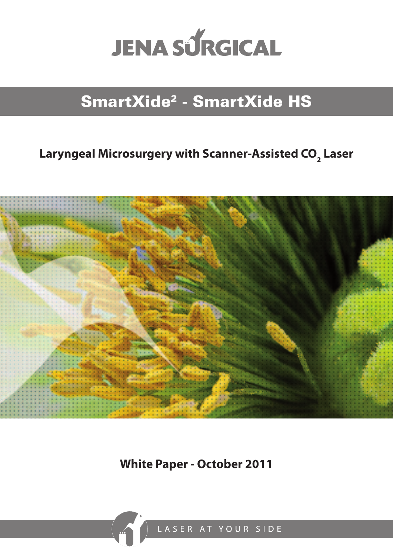

# SmartXide2 - SmartXide HS

## Laryngeal Microsurgery with Scanner-Assisted CO<sub>2</sub> Laser



**White Paper - October 2011**

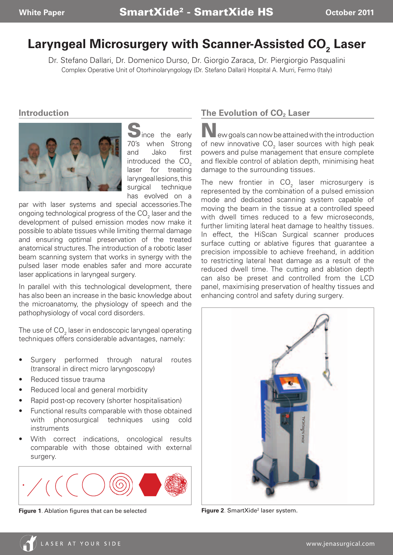## Laryngeal Microsurgery with Scanner-Assisted CO<sub>2</sub> Laser

Dr. Stefano Dallari, Dr. Domenico Durso, Dr. Giorgio Zaraca, Dr. Piergiorgio Pasqualini Complex Operative Unit of Otorhinolaryngology (Dr. Stefano Dallari) Hospital A. Murri, Fermo (Italy)

#### **Introduction**



lince the early 70's when Strong and Jako first introduced the  $CO<sub>2</sub>$ laser for treating laryngeal lesions, this surgical technique has evolved on a

par with laser systems and special accessories.The ongoing technological progress of the CO $_{\textrm{\tiny{2}}}$  laser and the development of pulsed emission modes now make it possible to ablate tissues while limiting thermal damage and ensuring optimal preservation of the treated anatomical structures. The introduction of a robotic laser beam scanning system that works in synergy with the pulsed laser mode enables safer and more accurate laser applications in laryngeal surgery.

In parallel with this technological development, there has also been an increase in the basic knowledge about the microanatomy, the physiology of speech and the pathophysiology of vocal cord disorders.

The use of CO $_{\textrm{\tiny{2}}}$  laser in endoscopic laryngeal operating techniques offers considerable advantages, namely:

- Surgery performed through natural routes (transoral in direct micro laryngoscopy)
- Reduced tissue trauma
- Reduced local and general morbidity
- Rapid post-op recovery (shorter hospitalisation)
- Functional results comparable with those obtained with phonosurgical techniques using cold instruments
- With correct indications, oncological results comparable with those obtained with external surgery.



**Figure 1**. Ablation figures that can be selected

### **The Evolution of CO<sub>2</sub> Laser**

New goals can now be attained with the introduction of new innovative  $\mathsf{CO}_2$  laser sources with high peak powers and pulse management that ensure complete and flexible control of ablation depth, minimising heat damage to the surrounding tissues.

The new frontier in  $CO<sub>2</sub>$  laser microsurgery is represented by the combination of a pulsed emission mode and dedicated scanning system capable of moving the beam in the tissue at a controlled speed with dwell times reduced to a few microseconds, further limiting lateral heat damage to healthy tissues. In effect, the HiScan Surgical scanner produces surface cutting or ablative figures that guarantee a precision impossible to achieve freehand, in addition to restricting lateral heat damage as a result of the reduced dwell time. The cutting and ablation depth can also be preset and controlled from the LCD panel, maximising preservation of healthy tissues and enhancing control and safety during surgery.



**Figure 2**. SmartXide<sup>2</sup> laser system.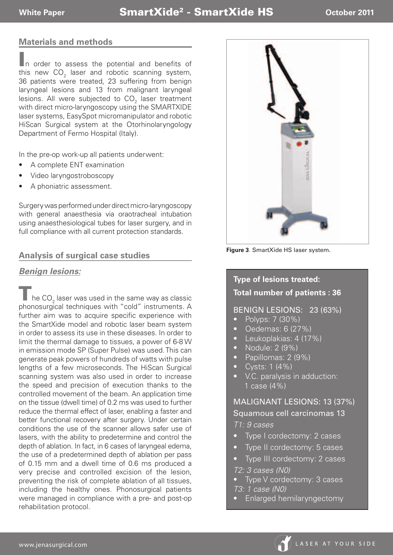#### **Materials and methods**

In order to assess the potential and benefits of this new CO $_{\textrm{\tiny{2}}}$  laser and robotic scanning system, 36 patients were treated, 23 suffering from benign laryngeal lesions and 13 from malignant laryngeal lesions. All were subjected to CO $_{_2}$  laser treatment with direct micro-laryngoscopy using the SMARTXIDE laser systems, EasySpot micromanipulator and robotic HiScan Surgical system at the Otorhinolaryngology Department of Fermo Hospital (Italy).

In the pre-op work-up all patients underwent:

- A complete ENT examination
- Video laryngostroboscopy
- A phoniatric assessment.

Surgery was performed under direct micro-laryngoscopy with general anaesthesia via oraotracheal intubation using anaesthesiological tubes for laser surgery, and in full compliance with all current protection standards.

#### **Analysis of surgical case studies**

#### *Benign lesions:*

**T** he CO<sub>2</sub> laser was used in the same way as classic phonosurgical techniques with "cold" instruments. A further aim was to acquire specific experience with the SmartXide model and robotic laser beam system in order to assess its use in these diseases. In order to limit the thermal damage to tissues, a power of 6-8 W in emission mode SP (Super Pulse) was used. This can generate peak powers of hundreds of watts with pulse lengths of a few microseconds. The HiScan Surgical scanning system was also used in order to increase the speed and precision of execution thanks to the controlled movement of the beam. An application time on the tissue (dwell time) of 0.2 ms was used to further reduce the thermal effect of laser, enabling a faster and better functional recovery after surgery. Under certain conditions the use of the scanner allows safer use of lasers, with the ability to predetermine and control the depth of ablation. In fact, in 6 cases of laryngeal edema, the use of a predetermined depth of ablation per pass of 0.15 mm and a dwell time of 0.6 ms produced a very precise and controlled excision of the lesion, preventing the risk of complete ablation of all tissues, including the healthy ones. Phonosurgical patients were managed in compliance with a pre- and post-op rehabilitation protocol.



**Figure 3**. SmartXide HS laser system.

### **Type of lesions treated: Total number of patients : 36**

#### BENIGN LESIONS: 23 (63%)

- Polyps: 7 (30%)
- • Oedemas: 6 (27%)
- • Leukoplakias: 4 (17%)
- Nodule: 2 (9%)
- Papillomas: 2 (9%)
- $Cysts: 1 (4%)$
- V.C. paralysis in adduction: 1 case (4%)

MALIGNANT LESIONS: 13 (37%) Squamous cell carcinomas 13 *T1: 9 cases*

- Type I cordectomy: 2 cases
- Type II cordectomy: 5 cases
- Type III cordectomy: 2 cases *T2: 3 cases (N0)*
- Type V cordectomy: 3 cases *T3: 1 case (N0)*
- Enlarged hemilaryngectomy

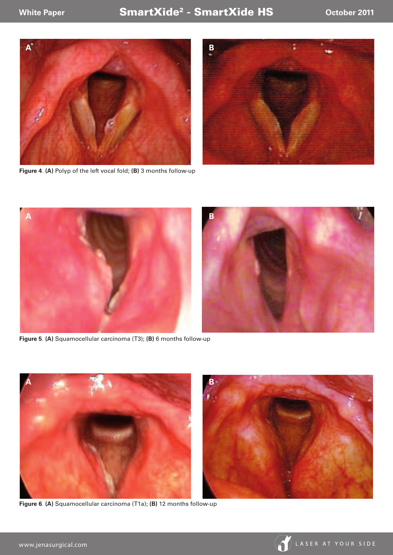



**Figure 4**. **(A)** Polyp of the left vocal fold; **(B)** 3 months follow-up



**Figure 5**. **(A)** Squamocellular carcinoma (T3); **(B)** 6 months follow-up



**Figure 6**. **(A)** Squamocellular carcinoma (T1a); **(B)** 12 months follow-up

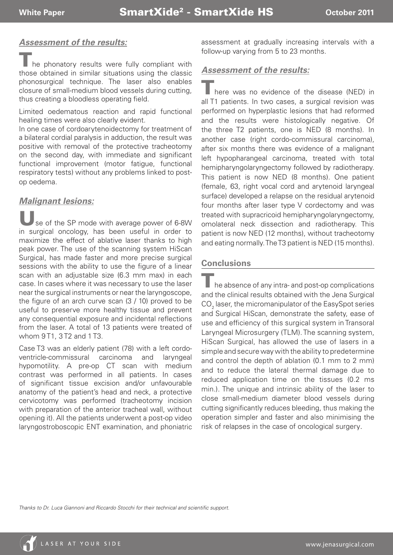#### *Assessment of the results:*

he phonatory results were fully compliant with those obtained in similar situations using the classic phonosurgical technique. The laser also enables closure of small-medium blood vessels during cutting, thus creating a bloodless operating field.

Limited oedematous reaction and rapid functional healing times were also clearly evident.

In one case of cordoarytenoidectomy for treatment of a bilateral cordial paralysis in adduction, the result was positive with removal of the protective tracheotomy on the second day, with immediate and significant functional improvement (motor fatigue, functional respiratory tests) without any problems linked to postop oedema.

#### *Malignant lesions:*

se of the SP mode with average power of 6-8W in surgical oncology, has been useful in order to maximize the effect of ablative laser thanks to high peak power. The use of the scanning system HiScan Surgical, has made faster and more precise surgical sessions with the ability to use the figure of a linear scan with an adjustable size (6.3 mm max) in each case. In cases where it was necessary to use the laser near the surgical instruments or near the laryngoscope, the figure of an arch curve scan (3 / 10) proved to be useful to preserve more healthy tissue and prevent any consequential exposure and incidental reflections from the laser. A total of 13 patients were treated of whom 9 T1, 3 T2 and 1 T3.

Case T3 was an elderly patient (78) with a left cordoventricle-commissural carcinoma and laryngeal hypomotility. A pre-op CT scan with medium contrast was performed in all patients. In cases of significant tissue excision and/or unfavourable anatomy of the patient's head and neck, a protective cervicotomy was performed (tracheotomy incision with preparation of the anterior tracheal wall, without opening it). All the patients underwent a post-op video laryngostroboscopic ENT examination, and phoniatric

assessment at gradually increasing intervals with a follow-up varying from 5 to 23 months.

#### *Assessment of the results:*

There was no evidence of the disease (NED) in all T1 patients. In two cases, a surgical revision was performed on hyperplastic lesions that had reformed and the results were histologically negative. Of the three T2 patients, one is NED (8 months). In another case (right cordo-commissural carcinoma), after six months there was evidence of a malignant left hypopharangeal carcinoma, treated with total hemipharyngolaryngectomy followed by radiotherapy. This patient is now NED (8 months). One patient (female, 63, right vocal cord and arytenoid laryngeal surface) developed a relapse on the residual arytenoid four months after laser type V cordectomy and was treated with supracricoid hemipharyngolaryngectomy, omolateral neck dissection and radiotherapy. This patient is now NED (12 months), without tracheotomy and eating normally. The T3 patient is NED (15 months).

#### **Conclusions**

 $\blacksquare$  he absence of any intra- and post-op complications and the clinical results obtained with the Jena Surgical  $\mathrm{CO}_2$  laser, the micromanipulator of the EasySpot series and Surgical HiScan, demonstrate the safety, ease of use and efficiency of this surgical system in Transoral Laryngeal Microsurgery (TLM). The scanning system, HiScan Surgical, has allowed the use of lasers in a simple and secure way with the ability to predetermine and control the depth of ablation (0.1 mm to 2 mm) and to reduce the lateral thermal damage due to reduced application time on the tissues (0.2 ms min.). The unique and intrinsic ability of the laser to close small-medium diameter blood vessels during cutting significantly reduces bleeding, thus making the operation simpler and faster and also minimising the risk of relapses in the case of oncological surgery.

*Thanks to Dr. Luca Giannoni and Riccardo Stocchi for their technical and scientific support.*